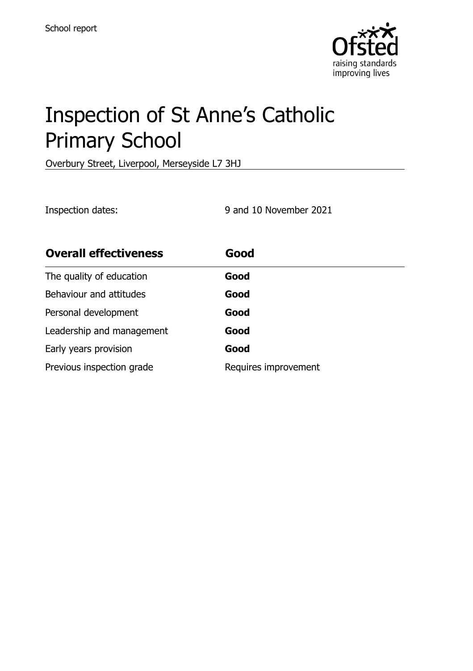

# Inspection of St Anne's Catholic Primary School

Overbury Street, Liverpool, Merseyside L7 3HJ

Inspection dates: 9 and 10 November 2021

| <b>Overall effectiveness</b> | Good                 |
|------------------------------|----------------------|
| The quality of education     | Good                 |
| Behaviour and attitudes      | Good                 |
| Personal development         | Good                 |
| Leadership and management    | Good                 |
| Early years provision        | Good                 |
| Previous inspection grade    | Requires improvement |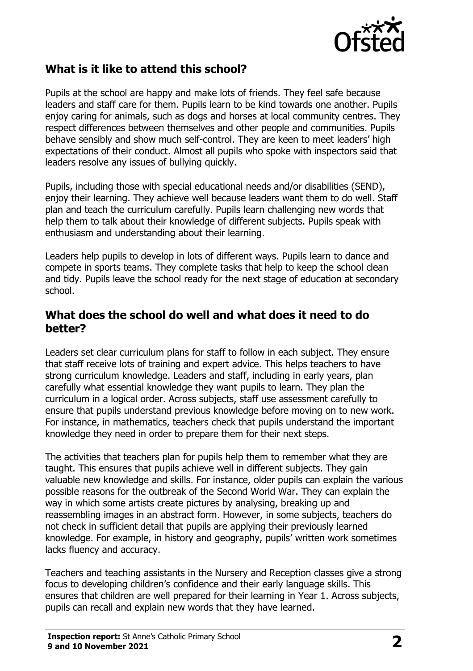

# **What is it like to attend this school?**

Pupils at the school are happy and make lots of friends. They feel safe because leaders and staff care for them. Pupils learn to be kind towards one another. Pupils enjoy caring for animals, such as dogs and horses at local community centres. They respect differences between themselves and other people and communities. Pupils behave sensibly and show much self-control. They are keen to meet leaders' high expectations of their conduct. Almost all pupils who spoke with inspectors said that leaders resolve any issues of bullying quickly.

Pupils, including those with special educational needs and/or disabilities (SEND), enjoy their learning. They achieve well because leaders want them to do well. Staff plan and teach the curriculum carefully. Pupils learn challenging new words that help them to talk about their knowledge of different subjects. Pupils speak with enthusiasm and understanding about their learning.

Leaders help pupils to develop in lots of different ways. Pupils learn to dance and compete in sports teams. They complete tasks that help to keep the school clean and tidy. Pupils leave the school ready for the next stage of education at secondary school.

### **What does the school do well and what does it need to do better?**

Leaders set clear curriculum plans for staff to follow in each subject. They ensure that staff receive lots of training and expert advice. This helps teachers to have strong curriculum knowledge. Leaders and staff, including in early years, plan carefully what essential knowledge they want pupils to learn. They plan the curriculum in a logical order. Across subjects, staff use assessment carefully to ensure that pupils understand previous knowledge before moving on to new work. For instance, in mathematics, teachers check that pupils understand the important knowledge they need in order to prepare them for their next steps.

The activities that teachers plan for pupils help them to remember what they are taught. This ensures that pupils achieve well in different subjects. They gain valuable new knowledge and skills. For instance, older pupils can explain the various possible reasons for the outbreak of the Second World War. They can explain the way in which some artists create pictures by analysing, breaking up and reassembling images in an abstract form. However, in some subjects, teachers do not check in sufficient detail that pupils are applying their previously learned knowledge. For example, in history and geography, pupils' written work sometimes lacks fluency and accuracy.

Teachers and teaching assistants in the Nursery and Reception classes give a strong focus to developing children's confidence and their early language skills. This ensures that children are well prepared for their learning in Year 1. Across subjects, pupils can recall and explain new words that they have learned.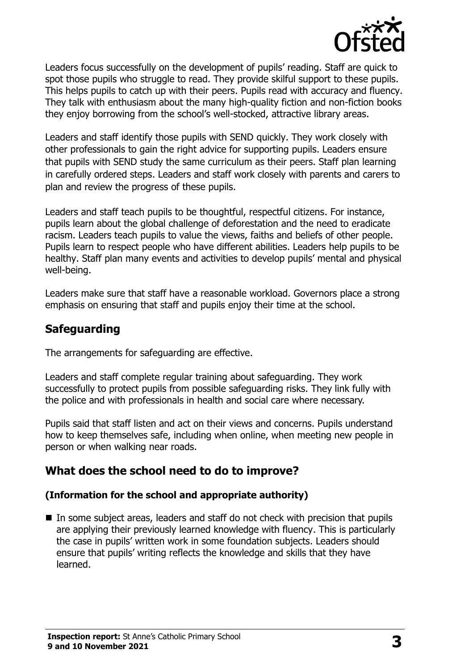

Leaders focus successfully on the development of pupils' reading. Staff are quick to spot those pupils who struggle to read. They provide skilful support to these pupils. This helps pupils to catch up with their peers. Pupils read with accuracy and fluency. They talk with enthusiasm about the many high-quality fiction and non-fiction books they enjoy borrowing from the school's well-stocked, attractive library areas.

Leaders and staff identify those pupils with SEND quickly. They work closely with other professionals to gain the right advice for supporting pupils. Leaders ensure that pupils with SEND study the same curriculum as their peers. Staff plan learning in carefully ordered steps. Leaders and staff work closely with parents and carers to plan and review the progress of these pupils.

Leaders and staff teach pupils to be thoughtful, respectful citizens. For instance, pupils learn about the global challenge of deforestation and the need to eradicate racism. Leaders teach pupils to value the views, faiths and beliefs of other people. Pupils learn to respect people who have different abilities. Leaders help pupils to be healthy. Staff plan many events and activities to develop pupils' mental and physical well-being.

Leaders make sure that staff have a reasonable workload. Governors place a strong emphasis on ensuring that staff and pupils enjoy their time at the school.

# **Safeguarding**

The arrangements for safeguarding are effective.

Leaders and staff complete regular training about safeguarding. They work successfully to protect pupils from possible safeguarding risks. They link fully with the police and with professionals in health and social care where necessary.

Pupils said that staff listen and act on their views and concerns. Pupils understand how to keep themselves safe, including when online, when meeting new people in person or when walking near roads.

# **What does the school need to do to improve?**

#### **(Information for the school and appropriate authority)**

In some subiect areas, leaders and staff do not check with precision that pupils are applying their previously learned knowledge with fluency. This is particularly the case in pupils' written work in some foundation subjects. Leaders should ensure that pupils' writing reflects the knowledge and skills that they have learned.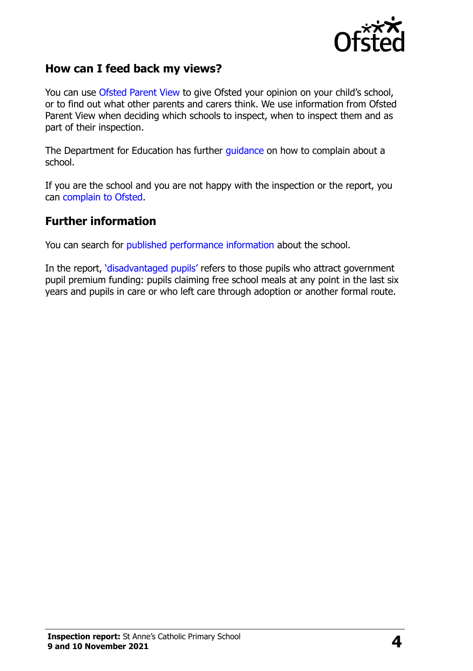

## **How can I feed back my views?**

You can use [Ofsted Parent View](http://parentview.ofsted.gov.uk/) to give Ofsted your opinion on your child's school, or to find out what other parents and carers think. We use information from Ofsted Parent View when deciding which schools to inspect, when to inspect them and as part of their inspection.

The Department for Education has further [guidance](http://www.gov.uk/complain-about-school) on how to complain about a school.

If you are the school and you are not happy with the inspection or the report, you can [complain to Ofsted.](http://www.gov.uk/complain-ofsted-report)

#### **Further information**

You can search for [published performance information](http://www.compare-school-performance.service.gov.uk/) about the school.

In the report, '[disadvantaged pupils](http://www.gov.uk/guidance/pupil-premium-information-for-schools-and-alternative-provision-settings)' refers to those pupils who attract government pupil premium funding: pupils claiming free school meals at any point in the last six years and pupils in care or who left care through adoption or another formal route.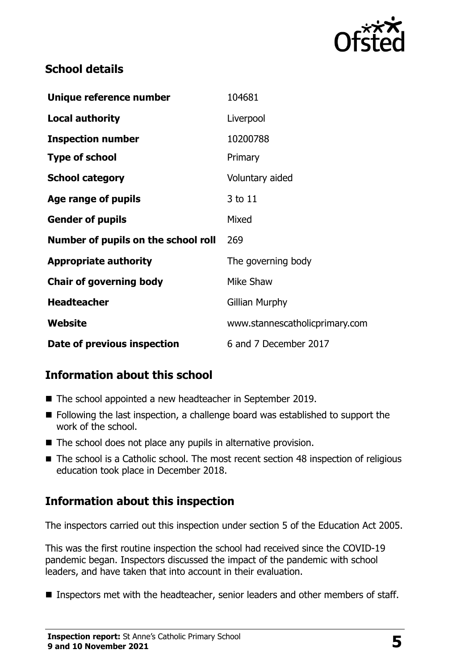

# **School details**

| Unique reference number             | 104681                         |
|-------------------------------------|--------------------------------|
| <b>Local authority</b>              | Liverpool                      |
| <b>Inspection number</b>            | 10200788                       |
| <b>Type of school</b>               | Primary                        |
| <b>School category</b>              | Voluntary aided                |
| Age range of pupils                 | 3 to 11                        |
| <b>Gender of pupils</b>             | Mixed                          |
| Number of pupils on the school roll | 269                            |
| <b>Appropriate authority</b>        | The governing body             |
| <b>Chair of governing body</b>      | Mike Shaw                      |
| <b>Headteacher</b>                  | Gillian Murphy                 |
| Website                             | www.stannescatholicprimary.com |
| Date of previous inspection         | 6 and 7 December 2017          |

# **Information about this school**

- The school appointed a new headteacher in September 2019.
- Following the last inspection, a challenge board was established to support the work of the school.
- The school does not place any pupils in alternative provision.
- The school is a Catholic school. The most recent section 48 inspection of religious education took place in December 2018.

# **Information about this inspection**

The inspectors carried out this inspection under section 5 of the Education Act 2005.

This was the first routine inspection the school had received since the COVID-19 pandemic began. Inspectors discussed the impact of the pandemic with school leaders, and have taken that into account in their evaluation.

**Inspectors met with the headteacher, senior leaders and other members of staff.**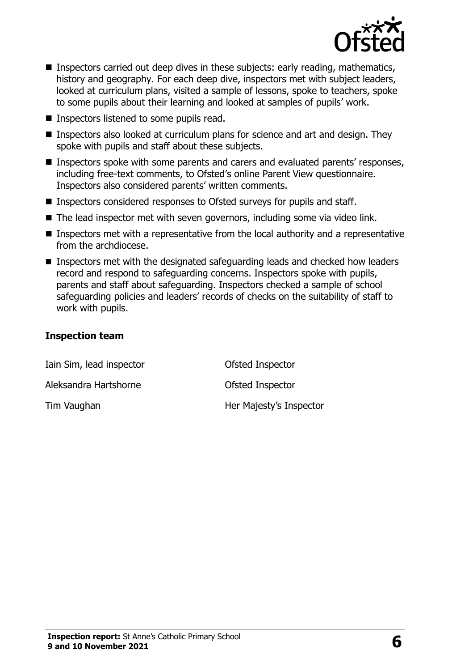

- Inspectors carried out deep dives in these subjects: early reading, mathematics, history and geography. For each deep dive, inspectors met with subject leaders, looked at curriculum plans, visited a sample of lessons, spoke to teachers, spoke to some pupils about their learning and looked at samples of pupils' work.
- Inspectors listened to some pupils read.
- Inspectors also looked at curriculum plans for science and art and design. They spoke with pupils and staff about these subjects.
- Inspectors spoke with some parents and carers and evaluated parents' responses, including free-text comments, to Ofsted's online Parent View questionnaire. Inspectors also considered parents' written comments.
- Inspectors considered responses to Ofsted surveys for pupils and staff.
- The lead inspector met with seven governors, including some via video link.
- **Inspectors met with a representative from the local authority and a representative** from the archdiocese.
- **Inspectors met with the designated safeguarding leads and checked how leaders** record and respond to safeguarding concerns. Inspectors spoke with pupils, parents and staff about safeguarding. Inspectors checked a sample of school safeguarding policies and leaders' records of checks on the suitability of staff to work with pupils.

#### **Inspection team**

| Iain Sim, lead inspector | Ofsted Inspector        |
|--------------------------|-------------------------|
| Aleksandra Hartshorne    | Ofsted Inspector        |
| Tim Vaughan              | Her Majesty's Inspector |